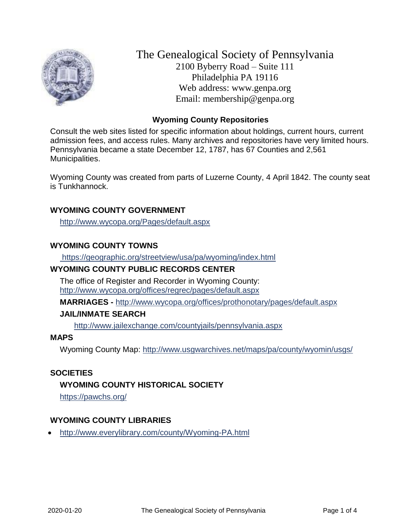

The Genealogical Society of Pennsylvania 2100 Byberry Road – Suite 111 Philadelphia PA 19116 Web address: www.genpa.org Email: membership@genpa.org

# **Wyoming County Repositories**

Consult the web sites listed for specific information about holdings, current hours, current admission fees, and access rules. Many archives and repositories have very limited hours. Pennsylvania became a state December 12, 1787, has 67 Counties and 2,561 Municipalities.

Wyoming County was created from parts of Luzerne County, 4 April 1842. The county seat is Tunkhannock.

## **WYOMING COUNTY GOVERNMENT**

<http://www.wycopa.org/Pages/default.aspx>

## **WYOMING COUNTY TOWNS**

<https://geographic.org/streetview/usa/pa/wyoming/index.html>

#### **WYOMING COUNTY PUBLIC RECORDS CENTER**

The office of Register and Recorder in Wyoming County: <http://www.wycopa.org/offices/regrec/pages/default.aspx>

**MARRIAGES -** <http://www.wycopa.org/offices/prothonotary/pages/default.aspx>

# **JAIL/INMATE SEARCH**

<http://www.jailexchange.com/countyjails/pennsylvania.aspx>

## **MAPS**

Wyoming County Map:<http://www.usgwarchives.net/maps/pa/county/wyomin/usgs/>

#### **SOCIETIES**

# **WYOMING COUNTY HISTORICAL SOCIETY**

<https://pawchs.org/>

# **WYOMING COUNTY LIBRARIES**

<http://www.everylibrary.com/county/Wyoming-PA.html>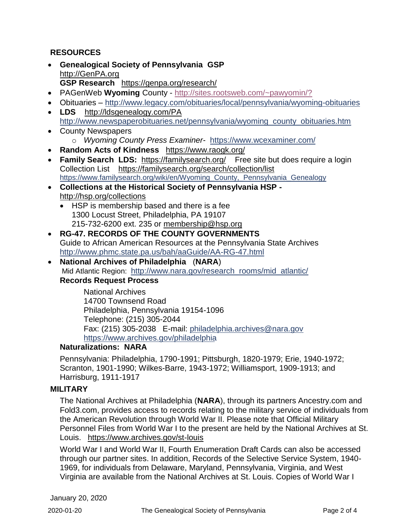# **RESOURCES**

- **Genealogical Society of Pennsylvania GSP GSP Research** <https://genpa.org/research/> [http://GenPA.org](http://genpa.org/)
- PAGenWeb **Wyoming** County <http://sites.rootsweb.com/~pawyomin/?>
- Obituaries <http://www.legacy.com/obituaries/local/pennsylvania/wyoming-obituaries>
- **LDS** <http://ldsgenealogy.com/PA> [http://www.newspaperobituaries.net/pennsylvania/wyoming\\_county\\_obituaries.htm](http://www.newspaperobituaries.net/pennsylvania/wyoming_county_obituaries.htm)
- o *Wyoming County Press Examiner* <https://www.wcexaminer.com/> • County Newspapers
- **Random Acts of Kindness** <https://www.raogk.org/>
- **Family Search LDS:** <https://familysearch.org/> Free site but does require a login Collection List <https://familysearch.org/search/collection/list> [https://www.familysearch.org/wiki/en/Wyoming\\_County,\\_Pennsylvania\\_Genealogy](https://www.familysearch.org/wiki/en/Wyoming_County,_Pennsylvania_Genealogy)
- **Collections at the Historical Society of Pennsylvania HSP**  <http://hsp.org/collections>
	- HSP is membership based and there is a fee 1300 Locust Street, Philadelphia, PA 19107 215-732-6200 ext. 235 or [membership@hsp.org](mailto:membership@hsp.org)
- **RG-47. RECORDS OF THE COUNTY GOVERNMENTS** Guide to African American Resources at the Pennsylvania State Archives <http://www.phmc.state.pa.us/bah/aaGuide/AA-RG-47.html>
- **National Archives of Philadelphia** (**NARA**) Mid Atlantic Region: [http://www.nara.gov/research\\_rooms/mid\\_atlantic/](http://www.nara.gov/research_rooms/mid_atlantic/) **Records Request Process**

National Archives 14700 Townsend Road Philadelphia, Pennsylvania 19154-1096 Telephone: (215) 305-2044 Fax: (215) 305-2038 E-mail: [philadelphia.archives@nara.gov](mailto:philadelphia.archives@nara.gov) <https://www.archives.gov/philadelphia>

#### **Naturalizations: NARA**

Pennsylvania: Philadelphia, 1790-1991; Pittsburgh, 1820-1979; Erie, 1940-1972; Scranton, 1901-1990; Wilkes-Barre, 1943-1972; Williamsport, 1909-1913; and Harrisburg, 1911-1917

#### **MILITARY**

The National Archives at Philadelphia (**NARA**), through its partners Ancestry.com and Fold3.com, provides access to records relating to the military service of individuals from the American Revolution through World War II. Please note that Official Military Personnel Files from World War I to the present are held by the National Archives at St. Louis. <https://www.archives.gov/st-louis>

World War I and World War II, Fourth Enumeration Draft Cards can also be accessed through our partner sites. In addition, Records of the Selective Service System, 1940- 1969, for individuals from Delaware, Maryland, Pennsylvania, Virginia, and West Virginia are available from the National Archives at St. Louis. Copies of World War I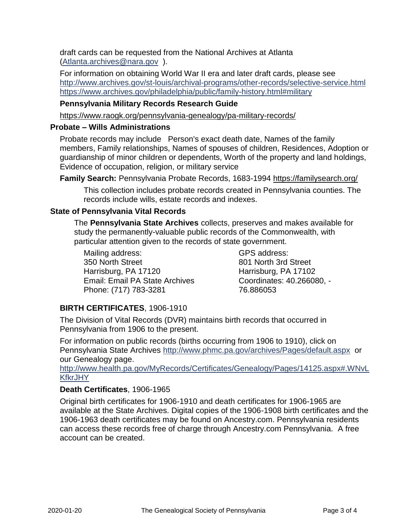draft cards can be requested from the National Archives at Atlanta [\(Atlanta.archives@nara.gov](mailto:Atlanta.archives@nara.gov) ).

For information on obtaining World War II era and later draft cards, please see <http://www.archives.gov/st-louis/archival-programs/other-records/selective-service.html> <https://www.archives.gov/philadelphia/public/family-history.html#military>

## **Pennsylvania Military Records Research Guide**

<https://www.raogk.org/pennsylvania-genealogy/pa-military-records/>

## **Probate – Wills Administrations**

Probate records may include Person's exact death date, Names of the family members, Family relationships, Names of spouses of children, Residences, Adoption or guardianship of minor children or dependents, Worth of the property and land holdings, Evidence of occupation, religion, or military service

**Family Search:** Pennsylvania Probate Records, 1683-1994 <https://familysearch.org/>

This collection includes probate records created in Pennsylvania counties. The records include wills, estate records and indexes.

## **State of Pennsylvania Vital Records**

The **Pennsylvania State Archives** collects, preserves and makes available for study the permanently-valuable public records of the Commonwealth, with particular attention given to the records of state government.

Mailing address: 350 North Street Harrisburg, PA 17120 Email: Email PA State Archives Phone: (717) 783-3281

GPS address: 801 North 3rd Street Harrisburg, PA 17102 Coordinates: 40.266080, - 76.886053

# **BIRTH CERTIFICATES**, 1906-1910

The Division of Vital Records (DVR) maintains birth records that occurred in Pennsylvania from 1906 to the present.

For information on public records (births occurring from 1906 to 1910), click on Pennsylvania State Archives <http://www.phmc.pa.gov/archives/Pages/default.aspx>or our Genealogy page.

[http://www.health.pa.gov/MyRecords/Certificates/Genealogy/Pages/14125.aspx#.WNvL](http://www.health.pa.gov/MyRecords/Certificates/Genealogy/Pages/14125.aspx#.WNvLKfkrJHY) **[KfkrJHY](http://www.health.pa.gov/MyRecords/Certificates/Genealogy/Pages/14125.aspx#.WNvLKfkrJHY)** 

# **Death Certificates**, 1906-1965

Original birth certificates for 1906-1910 and death certificates for 1906-1965 are available at the State Archives. Digital copies of the 1906-1908 birth certificates and the 1906-1963 death certificates may be found on Ancestry.com. Pennsylvania residents can access these records free of charge through Ancestry.com Pennsylvania. A free account can be created.